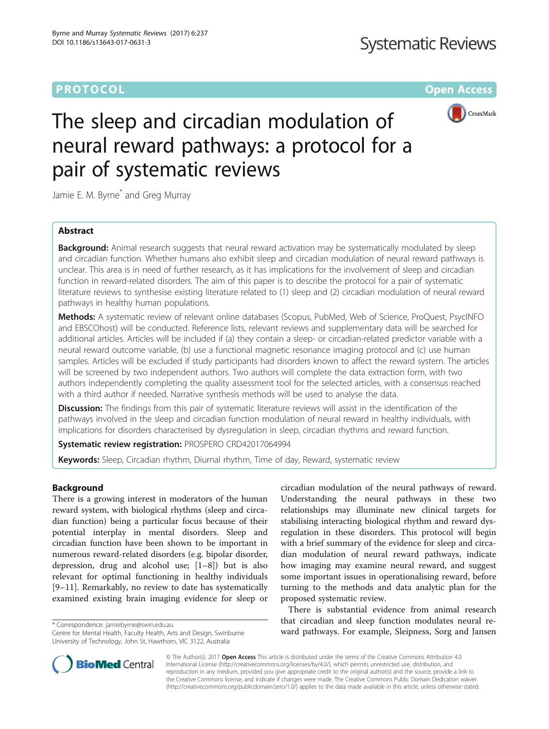# **PROTOCOL CONSUMING THE CONSUMING TEACHER CONSUMING THE CONSUMING TEACHER CONSUMING THE CONSUMING TEACHER CONSUMING THE CONSUMING TEACHER CONSUMING THE CONSUMING TEACHER CONSUMING THE CONSUMING TEACHER CONSUMING THE CONS**



# The sleep and circadian modulation of neural reward pathways: a protocol for a pair of systematic reviews

Jamie E. M. Byrne<sup>\*</sup> and Greg Murray

## Abstract

**Background:** Animal research suggests that neural reward activation may be systematically modulated by sleep and circadian function. Whether humans also exhibit sleep and circadian modulation of neural reward pathways is unclear. This area is in need of further research, as it has implications for the involvement of sleep and circadian function in reward-related disorders. The aim of this paper is to describe the protocol for a pair of systematic literature reviews to synthesise existing literature related to (1) sleep and (2) circadian modulation of neural reward pathways in healthy human populations.

Methods: A systematic review of relevant online databases (Scopus, PubMed, Web of Science, ProQuest, PsycINFO and EBSCOhost) will be conducted. Reference lists, relevant reviews and supplementary data will be searched for additional articles. Articles will be included if (a) they contain a sleep- or circadian-related predictor variable with a neural reward outcome variable, (b) use a functional magnetic resonance imaging protocol and (c) use human samples. Articles will be excluded if study participants had disorders known to affect the reward system. The articles will be screened by two independent authors. Two authors will complete the data extraction form, with two authors independently completing the quality assessment tool for the selected articles, with a consensus reached with a third author if needed. Narrative synthesis methods will be used to analyse the data.

Discussion: The findings from this pair of systematic literature reviews will assist in the identification of the pathways involved in the sleep and circadian function modulation of neural reward in healthy individuals, with implications for disorders characterised by dysregulation in sleep, circadian rhythms and reward function.

Systematic review registration: PROSPERO CRD42017064994

Keywords: Sleep, Circadian rhythm, Diurnal rhythm, Time of day, Reward, systematic review

## Background

There is a growing interest in moderators of the human reward system, with biological rhythms (sleep and circadian function) being a particular focus because of their potential interplay in mental disorders. Sleep and circadian function have been shown to be important in numerous reward-related disorders (e.g. bipolar disorder, depression, drug and alcohol use;  $[1-8]$  $[1-8]$  $[1-8]$  $[1-8]$  $[1-8]$ ) but is also relevant for optimal functioning in healthy individuals [[9](#page-4-0)–[11\]](#page-4-0). Remarkably, no review to date has systematically examined existing brain imaging evidence for sleep or

circadian modulation of the neural pathways of reward. Understanding the neural pathways in these two relationships may illuminate new clinical targets for stabilising interacting biological rhythm and reward dysregulation in these disorders. This protocol will begin with a brief summary of the evidence for sleep and circadian modulation of neural reward pathways, indicate how imaging may examine neural reward, and suggest some important issues in operationalising reward, before turning to the methods and data analytic plan for the proposed systematic review.

There is substantial evidence from animal research that circadian and sleep function modulates neural re\* Correspondence: [jamiebyrne@swin.edu.au](mailto:jamiebyrne@swin.edu.au)<br>Centre for Mental Health, Faculty Health, Arts and Design, Swinburne **\* \* Ward pathways. For example, Sleipness, Sorg and Jansen** 



© The Author(s). 2017 **Open Access** This article is distributed under the terms of the Creative Commons Attribution 4.0 International License [\(http://creativecommons.org/licenses/by/4.0/](http://creativecommons.org/licenses/by/4.0/)), which permits unrestricted use, distribution, and reproduction in any medium, provided you give appropriate credit to the original author(s) and the source, provide a link to the Creative Commons license, and indicate if changes were made. The Creative Commons Public Domain Dedication waiver [\(http://creativecommons.org/publicdomain/zero/1.0/](http://creativecommons.org/publicdomain/zero/1.0/)) applies to the data made available in this article, unless otherwise stated.

Centre for Mental Health, Faculty Health, Arts and Design, Swinburne University of Technology, John St, Hawthorn, VIC 3122, Australia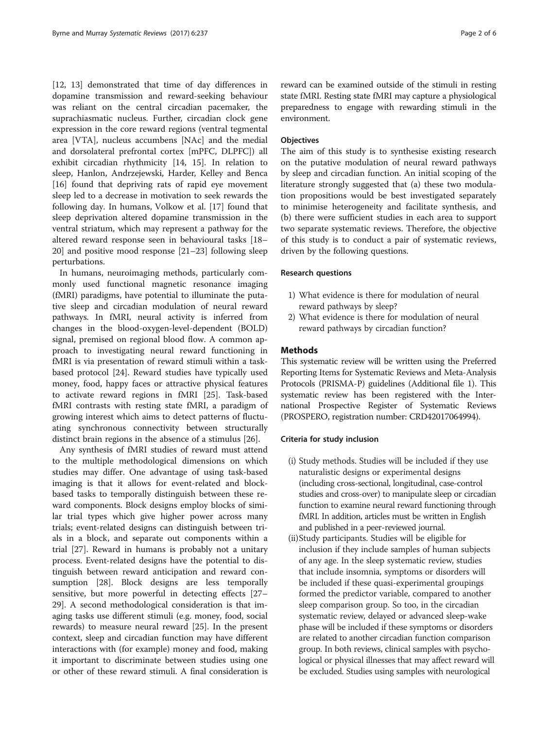[[12, 13\]](#page-4-0) demonstrated that time of day differences in dopamine transmission and reward-seeking behaviour was reliant on the central circadian pacemaker, the suprachiasmatic nucleus. Further, circadian clock gene expression in the core reward regions (ventral tegmental area [VTA], nucleus accumbens [NAc] and the medial and dorsolateral prefrontal cortex [mPFC, DLPFC]) all exhibit circadian rhythmicity [\[14](#page-4-0), [15](#page-4-0)]. In relation to sleep, Hanlon, Andrzejewski, Harder, Kelley and Benca [[16\]](#page-4-0) found that depriving rats of rapid eye movement sleep led to a decrease in motivation to seek rewards the following day. In humans, Volkow et al. [\[17](#page-4-0)] found that sleep deprivation altered dopamine transmission in the ventral striatum, which may represent a pathway for the altered reward response seen in behavioural tasks [[18](#page-4-0)– [20\]](#page-4-0) and positive mood response [[21](#page-5-0)–[23](#page-5-0)] following sleep perturbations.

In humans, neuroimaging methods, particularly commonly used functional magnetic resonance imaging (fMRI) paradigms, have potential to illuminate the putative sleep and circadian modulation of neural reward pathways. In fMRI, neural activity is inferred from changes in the blood-oxygen-level-dependent (BOLD) signal, premised on regional blood flow. A common approach to investigating neural reward functioning in fMRI is via presentation of reward stimuli within a taskbased protocol [\[24](#page-5-0)]. Reward studies have typically used money, food, happy faces or attractive physical features to activate reward regions in fMRI [[25\]](#page-5-0). Task-based fMRI contrasts with resting state fMRI, a paradigm of growing interest which aims to detect patterns of fluctuating synchronous connectivity between structurally distinct brain regions in the absence of a stimulus [\[26](#page-5-0)].

Any synthesis of fMRI studies of reward must attend to the multiple methodological dimensions on which studies may differ. One advantage of using task-based imaging is that it allows for event-related and blockbased tasks to temporally distinguish between these reward components. Block designs employ blocks of similar trial types which give higher power across many trials; event-related designs can distinguish between trials in a block, and separate out components within a trial [[27](#page-5-0)]. Reward in humans is probably not a unitary process. Event-related designs have the potential to distinguish between reward anticipation and reward consumption [[28](#page-5-0)]. Block designs are less temporally sensitive, but more powerful in detecting effects [[27](#page-5-0)– [29\]](#page-5-0). A second methodological consideration is that imaging tasks use different stimuli (e.g. money, food, social rewards) to measure neural reward [[25](#page-5-0)]. In the present context, sleep and circadian function may have different interactions with (for example) money and food, making it important to discriminate between studies using one or other of these reward stimuli. A final consideration is reward can be examined outside of the stimuli in resting state fMRI. Resting state fMRI may capture a physiological preparedness to engage with rewarding stimuli in the environment.

## **Objectives**

The aim of this study is to synthesise existing research on the putative modulation of neural reward pathways by sleep and circadian function. An initial scoping of the literature strongly suggested that (a) these two modulation propositions would be best investigated separately to minimise heterogeneity and facilitate synthesis, and (b) there were sufficient studies in each area to support two separate systematic reviews. Therefore, the objective of this study is to conduct a pair of systematic reviews, driven by the following questions.

## Research questions

- 1) What evidence is there for modulation of neural reward pathways by sleep?
- 2) What evidence is there for modulation of neural reward pathways by circadian function?

#### Methods

This systematic review will be written using the Preferred Reporting Items for Systematic Reviews and Meta-Analysis Protocols (PRISMA-P) guidelines (Additional file [1](#page-4-0)). This systematic review has been registered with the International Prospective Register of Systematic Reviews (PROSPERO, registration number: CRD42017064994).

#### Criteria for study inclusion

- (i) Study methods. Studies will be included if they use naturalistic designs or experimental designs (including cross-sectional, longitudinal, case-control studies and cross-over) to manipulate sleep or circadian function to examine neural reward functioning through fMRI. In addition, articles must be written in English and published in a peer-reviewed journal.
- (ii)Study participants. Studies will be eligible for inclusion if they include samples of human subjects of any age. In the sleep systematic review, studies that include insomnia, symptoms or disorders will be included if these quasi-experimental groupings formed the predictor variable, compared to another sleep comparison group. So too, in the circadian systematic review, delayed or advanced sleep-wake phase will be included if these symptoms or disorders are related to another circadian function comparison group. In both reviews, clinical samples with psychological or physical illnesses that may affect reward will be excluded. Studies using samples with neurological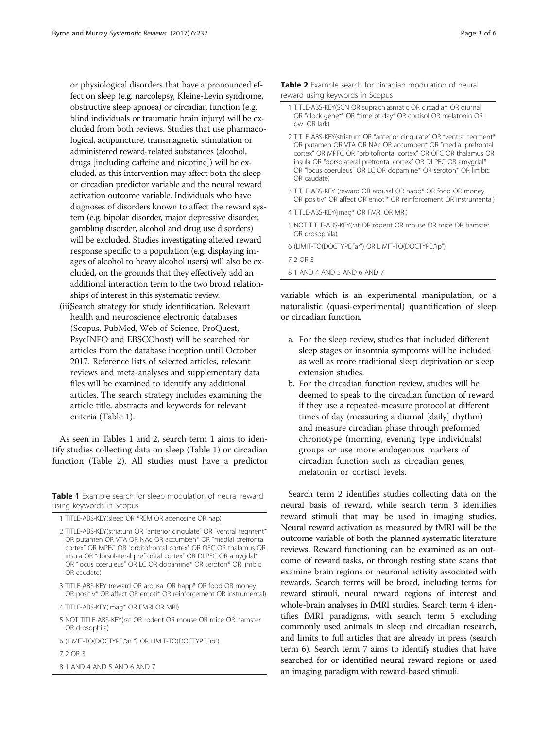or physiological disorders that have a pronounced effect on sleep (e.g. narcolepsy, Kleine-Levin syndrome, obstructive sleep apnoea) or circadian function (e.g. blind individuals or traumatic brain injury) will be excluded from both reviews. Studies that use pharmacological, acupuncture, transmagnetic stimulation or administered reward-related substances (alcohol, drugs [including caffeine and nicotine]) will be excluded, as this intervention may affect both the sleep or circadian predictor variable and the neural reward activation outcome variable. Individuals who have diagnoses of disorders known to affect the reward system (e.g. bipolar disorder, major depressive disorder, gambling disorder, alcohol and drug use disorders) will be excluded. Studies investigating altered reward response specific to a population (e.g. displaying images of alcohol to heavy alcohol users) will also be excluded, on the grounds that they effectively add an additional interaction term to the two broad relationships of interest in this systematic review.

(iii)Search strategy for study identification. Relevant health and neuroscience electronic databases (Scopus, PubMed, Web of Science, ProQuest, PsycINFO and EBSCOhost) will be searched for articles from the database inception until October 2017. Reference lists of selected articles, relevant reviews and meta-analyses and supplementary data files will be examined to identify any additional articles. The search strategy includes examining the article title, abstracts and keywords for relevant criteria (Table 1).

As seen in Tables 1 and 2, search term 1 aims to identify studies collecting data on sleep (Table 1) or circadian function (Table 2). All studies must have a predictor

Table 1 Example search for sleep modulation of neural reward using keywords in Scopus

1 TITLE-ABS-KEY(sleep OR \*REM OR adenosine OR nap)

2 TITLE-ABS-KEY(striatum OR "anterior cingulate" OR "ventral tegment\* OR putamen OR VTA OR NAc OR accumben\* OR "medial prefrontal cortex" OR MPFC OR "orbitofrontal cortex" OR OFC OR thalamus OR insula OR "dorsolateral prefrontal cortex" OR DLPFC OR amygdal\* OR "locus coeruleus" OR LC OR dopamine\* OR seroton\* OR limbic OR caudate)

- 3 TITLE-ABS-KEY (reward OR arousal OR happ\* OR food OR money OR positiv\* OR affect OR emoti\* OR reinforcement OR instrumental)
- 4 TITLE-ABS-KEY(imag\* OR FMRI OR MRI)
- 5 NOT TITLE-ABS-KEY(rat OR rodent OR mouse OR mice OR hamster OR drosophila)
- 6 (LIMIT-TO(DOCTYPE,"ar ") OR LIMIT-TO(DOCTYPE,"ip")
- 7 2 OR 3
- 8 1 AND 4 AND 5 AND 6 AND 7

Table 2 Example search for circadian modulation of neural reward using keywords in Scopus

- 1 TITLE-ABS-KEY(SCN OR suprachiasmatic OR circadian OR diurnal OR "clock gene\*" OR "time of day" OR cortisol OR melatonin OR owl OR lark)
- 2 TITLE-ABS-KEY(striatum OR "anterior cingulate" OR "ventral tegment\* OR putamen OR VTA OR NAc OR accumben\* OR "medial prefrontal cortex" OR MPFC OR "orbitofrontal cortex" OR OFC OR thalamus OR insula OR "dorsolateral prefrontal cortex" OR DLPFC OR amygdal\* OR "locus coeruleus" OR LC OR dopamine\* OR seroton\* OR limbic OR caudate)
- 3 TITLE-ABS-KEY (reward OR arousal OR happ\* OR food OR money OR positiv\* OR affect OR emoti\* OR reinforcement OR instrumental)
- 4 TITLE-ABS-KEY(imag\* OR FMRI OR MRI)
- 5 NOT TITLE-ABS-KEY(rat OR rodent OR mouse OR mice OR hamster OR drosophila)
- 6 (LIMIT-TO(DOCTYPE,"ar") OR LIMIT-TO(DOCTYPE,"ip")

7 2 OR 3

8 1 AND 4 AND 5 AND 6 AND 7

variable which is an experimental manipulation, or a naturalistic (quasi-experimental) quantification of sleep or circadian function.

- a. For the sleep review, studies that included different sleep stages or insomnia symptoms will be included as well as more traditional sleep deprivation or sleep extension studies.
- b. For the circadian function review, studies will be deemed to speak to the circadian function of reward if they use a repeated-measure protocol at different times of day (measuring a diurnal [daily] rhythm) and measure circadian phase through preformed chronotype (morning, evening type individuals) groups or use more endogenous markers of circadian function such as circadian genes, melatonin or cortisol levels.

Search term 2 identifies studies collecting data on the neural basis of reward, while search term 3 identifies reward stimuli that may be used in imaging studies. Neural reward activation as measured by fMRI will be the outcome variable of both the planned systematic literature reviews. Reward functioning can be examined as an outcome of reward tasks, or through resting state scans that examine brain regions or neuronal activity associated with rewards. Search terms will be broad, including terms for reward stimuli, neural reward regions of interest and whole-brain analyses in fMRI studies. Search term 4 identifies fMRI paradigms, with search term 5 excluding commonly used animals in sleep and circadian research, and limits to full articles that are already in press (search term 6). Search term 7 aims to identify studies that have searched for or identified neural reward regions or used an imaging paradigm with reward-based stimuli.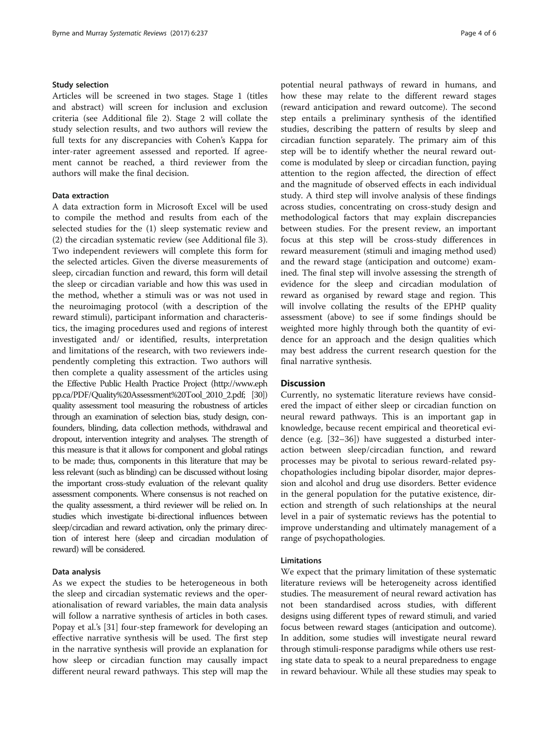## Study selection

Articles will be screened in two stages. Stage 1 (titles and abstract) will screen for inclusion and exclusion criteria (see Additional file [2\)](#page-4-0). Stage 2 will collate the study selection results, and two authors will review the full texts for any discrepancies with Cohen's Kappa for inter-rater agreement assessed and reported. If agreement cannot be reached, a third reviewer from the authors will make the final decision.

## Data extraction

A data extraction form in Microsoft Excel will be used to compile the method and results from each of the selected studies for the (1) sleep systematic review and (2) the circadian systematic review (see Additional file [3](#page-4-0)). Two independent reviewers will complete this form for the selected articles. Given the diverse measurements of sleep, circadian function and reward, this form will detail the sleep or circadian variable and how this was used in the method, whether a stimuli was or was not used in the neuroimaging protocol (with a description of the reward stimuli), participant information and characteristics, the imaging procedures used and regions of interest investigated and/ or identified, results, interpretation and limitations of the research, with two reviewers independently completing this extraction. Two authors will then complete a quality assessment of the articles using the Effective Public Health Practice Project [\(http://www.eph](http://www.ephpp.ca/PDF/Quality%20Assessment%20Tool_2010_2.pdf) [pp.ca/PDF/Quality%20Assessment%20Tool\\_2010\\_2.pdf](http://www.ephpp.ca/PDF/Quality%20Assessment%20Tool_2010_2.pdf); [\[30\]](#page-5-0)) quality assessment tool measuring the robustness of articles through an examination of selection bias, study design, confounders, blinding, data collection methods, withdrawal and dropout, intervention integrity and analyses. The strength of this measure is that it allows for component and global ratings to be made; thus, components in this literature that may be less relevant (such as blinding) can be discussed without losing the important cross-study evaluation of the relevant quality assessment components. Where consensus is not reached on the quality assessment, a third reviewer will be relied on. In studies which investigate bi-directional influences between sleep/circadian and reward activation, only the primary direction of interest here (sleep and circadian modulation of reward) will be considered.

### Data analysis

As we expect the studies to be heterogeneous in both the sleep and circadian systematic reviews and the operationalisation of reward variables, the main data analysis will follow a narrative synthesis of articles in both cases. Popay et al.'s [[31](#page-5-0)] four-step framework for developing an effective narrative synthesis will be used. The first step in the narrative synthesis will provide an explanation for how sleep or circadian function may causally impact different neural reward pathways. This step will map the

potential neural pathways of reward in humans, and how these may relate to the different reward stages (reward anticipation and reward outcome). The second step entails a preliminary synthesis of the identified studies, describing the pattern of results by sleep and circadian function separately. The primary aim of this step will be to identify whether the neural reward outcome is modulated by sleep or circadian function, paying attention to the region affected, the direction of effect and the magnitude of observed effects in each individual study. A third step will involve analysis of these findings across studies, concentrating on cross-study design and methodological factors that may explain discrepancies between studies. For the present review, an important focus at this step will be cross-study differences in reward measurement (stimuli and imaging method used) and the reward stage (anticipation and outcome) examined. The final step will involve assessing the strength of evidence for the sleep and circadian modulation of reward as organised by reward stage and region. This will involve collating the results of the EPHP quality assessment (above) to see if some findings should be weighted more highly through both the quantity of evidence for an approach and the design qualities which may best address the current research question for the final narrative synthesis.

### **Discussion**

Currently, no systematic literature reviews have considered the impact of either sleep or circadian function on neural reward pathways. This is an important gap in knowledge, because recent empirical and theoretical evidence (e.g. [\[32](#page-5-0)–[36\]](#page-5-0)) have suggested a disturbed interaction between sleep/circadian function, and reward processes may be pivotal to serious reward-related psychopathologies including bipolar disorder, major depression and alcohol and drug use disorders. Better evidence in the general population for the putative existence, direction and strength of such relationships at the neural level in a pair of systematic reviews has the potential to improve understanding and ultimately management of a range of psychopathologies.

#### Limitations

We expect that the primary limitation of these systematic literature reviews will be heterogeneity across identified studies. The measurement of neural reward activation has not been standardised across studies, with different designs using different types of reward stimuli, and varied focus between reward stages (anticipation and outcome). In addition, some studies will investigate neural reward through stimuli-response paradigms while others use resting state data to speak to a neural preparedness to engage in reward behaviour. While all these studies may speak to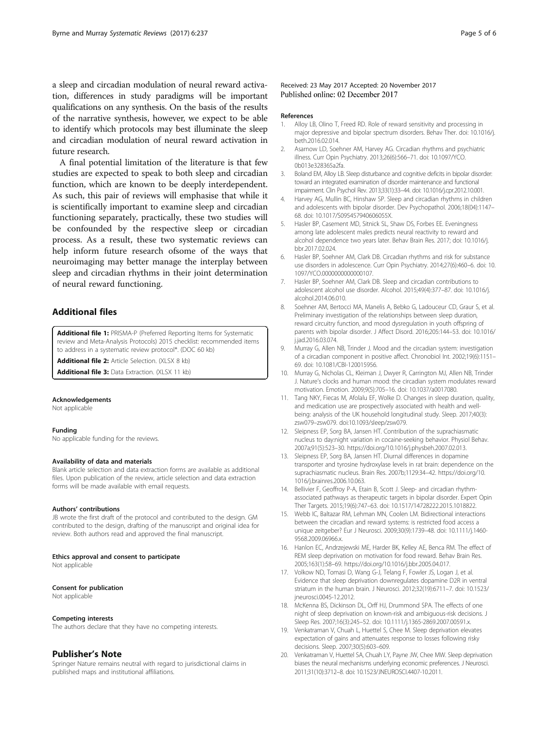<span id="page-4-0"></span>a sleep and circadian modulation of neural reward activation, differences in study paradigms will be important qualifications on any synthesis. On the basis of the results of the narrative synthesis, however, we expect to be able to identify which protocols may best illuminate the sleep and circadian modulation of neural reward activation in future research.

A final potential limitation of the literature is that few studies are expected to speak to both sleep and circadian function, which are known to be deeply interdependent. As such, this pair of reviews will emphasise that while it is scientifically important to examine sleep and circadian functioning separately, practically, these two studies will be confounded by the respective sleep or circadian process. As a result, these two systematic reviews can help inform future research ofsome of the ways that neuroimaging may better manage the interplay between sleep and circadian rhythms in their joint determination of neural reward functioning.

## Additional files

[Additional file 1:](dx.doi.org/10.1186/s13643-017-0631-3) PRISMA-P (Preferred Reporting Items for Systematic review and Meta-Analysis Protocols) 2015 checklist: recommended items to address in a systematic review protocol\*. (DOC 60 kb)

[Additional file 2:](dx.doi.org/10.1186/s13643-017-0631-3) Article Selection. (XLSX 8 kb)

[Additional file 3:](dx.doi.org/10.1186/s13643-017-0631-3) Data Extraction. (XLSX 11 kb)

#### Acknowledgements

Not applicable

#### Funding

No applicable funding for the reviews.

#### Availability of data and materials

Blank article selection and data extraction forms are available as additional files. Upon publication of the review, article selection and data extraction forms will be made available with email requests.

#### Authors' contributions

JB wrote the first draft of the protocol and contributed to the design. GM contributed to the design, drafting of the manuscript and original idea for review. Both authors read and approved the final manuscript.

#### Ethics approval and consent to participate

Not applicable

#### Consent for publication

Not applicable

#### Competing interests

The authors declare that they have no competing interests.

## Publisher's Note

Springer Nature remains neutral with regard to jurisdictional claims in published maps and institutional affiliations.

#### Received: 23 May 2017 Accepted: 20 November 2017 Published online: 02 December 2017

#### References

- 1. Alloy LB, Olino T, Freed RD. Role of reward sensitivity and processing in major depressive and bipolar spectrum disorders. Behav Ther. doi: [10.1016/j.](http://dx.doi.org/10.1016/j.beth.2016.02.014) [beth.2016.02.014](http://dx.doi.org/10.1016/j.beth.2016.02.014).
- 2. Asarnow LD, Soehner AM, Harvey AG. Circadian rhythms and psychiatric illness. Curr Opin Psychiatry. 2013;26(6):566–71. doi: [10.1097/YCO.](http://dx.doi.org/10.1097/YCO.0b013e328365a2fa) [0b013e328365a2fa.](http://dx.doi.org/10.1097/YCO.0b013e328365a2fa)
- 3. Boland EM, Alloy LB. Sleep disturbance and cognitive deficits in bipolar disorder: toward an integrated examination of disorder maintenance and functional impairment. Clin Psychol Rev. 2013;33(1):33–44. doi: [10.1016/j.cpr.2012.10.001](http://dx.doi.org/10.1016/j.cpr.2012.10.001).
- 4. Harvey AG, Mullin BC, Hinshaw SP. Sleep and circadian rhythms in children and adolescents with bipolar disorder. Dev Psychopathol. 2006;18(04):1147– 68. doi: [10.1017/S095457940606055X.](http://dx.doi.org/10.1017/S095457940606055X)
- 5. Hasler BP, Casement MD, Sitnick SL, Shaw DS, Forbes EE. Eveningness among late adolescent males predicts neural reactivity to reward and alcohol dependence two years later. Behav Brain Res. 2017; doi: [10.1016/j.](http://dx.doi.org/10.1016/j.bbr.2017.02.024) [bbr.2017.02.024.](http://dx.doi.org/10.1016/j.bbr.2017.02.024)
- 6. Hasler BP, Soehner AM, Clark DB. Circadian rhythms and risk for substance use disorders in adolescence. Curr Opin Psychiatry. 2014;27(6):460–6. doi: [10.](http://dx.doi.org/10.1097/YCO.0000000000000107) [1097/YCO.0000000000000107.](http://dx.doi.org/10.1097/YCO.0000000000000107)
- 7. Hasler BP, Soehner AM, Clark DB. Sleep and circadian contributions to adolescent alcohol use disorder. Alcohol. 2015;49(4):377–87. doi: [10.1016/j.](http://dx.doi.org/10.1016/j.alcohol.2014.06.010) [alcohol.2014.06.010.](http://dx.doi.org/10.1016/j.alcohol.2014.06.010)
- 8. Soehner AM, Bertocci MA, Manelis A, Bebko G, Ladouceur CD, Graur S, et al. Preliminary investigation of the relationships between sleep duration, reward circuitry function, and mood dysregulation in youth offspring of parents with bipolar disorder. J Affect Disord. 2016;205:144–53. doi: [10.1016/](http://dx.doi.org/10.1016/j.jad.2016.03.074) [j.jad.2016.03.074](http://dx.doi.org/10.1016/j.jad.2016.03.074).
- 9. Murray G, Allen NB, Trinder J. Mood and the circadian system: investigation of a circadian component in positive affect. Chronobiol Int. 2002;19(6):1151– 69. doi: [10.1081/CBI-120015956](http://dx.doi.org/10.1081/CBI-120015956).
- 10. Murray G, Nicholas CL, Kleiman J, Dwyer R, Carrington MJ, Allen NB, Trinder J. Nature's clocks and human mood: the circadian system modulates reward motivation. Emotion. 2009;9(5):705–16. doi: [10.1037/a0017080](http://dx.doi.org/10.1037/a0017080).
- 11. Tang NKY, Fiecas M, Afolalu EF, Wolke D. Changes in sleep duration, quality, and medication use are prospectively associated with health and wellbeing: analysis of the UK household longitudinal study. Sleep. 2017;40(3): zsw079–zsw079. doi[:10.1093/sleep/zsw079.](http://dx.doi.org/10.1093/sleep/zsw079)
- 12. Sleipness EP, Sorg BA, Jansen HT. Contribution of the suprachiasmatic nucleus to day:night variation in cocaine-seeking behavior. Physiol Behav. 2007a;91(5):523–30. [https://doi.org/10.1016/j.physbeh.2007.02.013](http://dx.doi.org/10.1016/j.physbeh.2007.02.013).
- 13. Sleipness EP, Sorg BA, Jansen HT. Diurnal differences in dopamine transporter and tyrosine hydroxylase levels in rat brain: dependence on the suprachiasmatic nucleus. Brain Res. 2007b;1129:34–42. [https://doi.org/10.](http://dx.doi.org/10.1016/j.brainres.2006.10.063) [1016/j.brainres.2006.10.063](http://dx.doi.org/10.1016/j.brainres.2006.10.063).
- 14. Bellivier F, Geoffroy P-A, Etain B, Scott J. Sleep- and circadian rhythmassociated pathways as therapeutic targets in bipolar disorder. Expert Opin Ther Targets. 2015;19(6):747–63. doi: [10.1517/14728222.2015.1018822.](http://dx.doi.org/10.1517/14728222.2015.1018822)
- 15. Webb IC, Baltazar RM, Lehman MN, Coolen LM. Bidirectional interactions between the circadian and reward systems: is restricted food access a unique zeitgeber? Eur J Neurosci. 2009;30(9):1739–48. doi: [10.1111/j.1460-](http://dx.doi.org/10.1111/j.1460-9568.2009.06966.x) [9568.2009.06966.x.](http://dx.doi.org/10.1111/j.1460-9568.2009.06966.x)
- 16. Hanlon EC, Andrzejewski ME, Harder BK, Kelley AE, Benca RM. The effect of REM sleep deprivation on motivation for food reward. Behav Brain Res. 2005;163(1):58–69. [https://doi.org/10.1016/j.bbr.2005.04.017.](http://dx.doi.org/10.1016/j.bbr.2005.04.017)
- 17. Volkow ND, Tomasi D, Wang G-J, Telang F, Fowler JS, Logan J, et al. Evidence that sleep deprivation downregulates dopamine D2R in ventral striatum in the human brain. J Neurosci. 2012;32(19):6711–7. doi: [10.1523/](http://dx.doi.org/10.1523/jneurosci.0045-12.2012) [jneurosci.0045-12.2012.](http://dx.doi.org/10.1523/jneurosci.0045-12.2012)
- 18. McKenna BS, Dickinson DL, Orff HJ, Drummond SPA. The effects of one night of sleep deprivation on known-risk and ambiguous-risk decisions. J Sleep Res. 2007;16(3):245–52. doi: [10.1111/j.1365-2869.2007.00591.x](http://dx.doi.org/10.1111/j.1365-2869.2007.00591.x).
- 19. Venkatraman V, Chuah L, Huettel S, Chee M. Sleep deprivation elevates expectation of gains and attenuates response to losses following risky decisions. Sleep. 2007;30(5):603–609.
- 20. Venkatraman V, Huettel SA, Chuah LY, Payne JW, Chee MW. Sleep deprivation biases the neural mechanisms underlying economic preferences. J Neurosci. 2011;31(10):3712–8. doi: [10.1523/JNEUROSCI.4407-10.2011.](http://dx.doi.org/10.1523/JNEUROSCI.4407-10.2011)